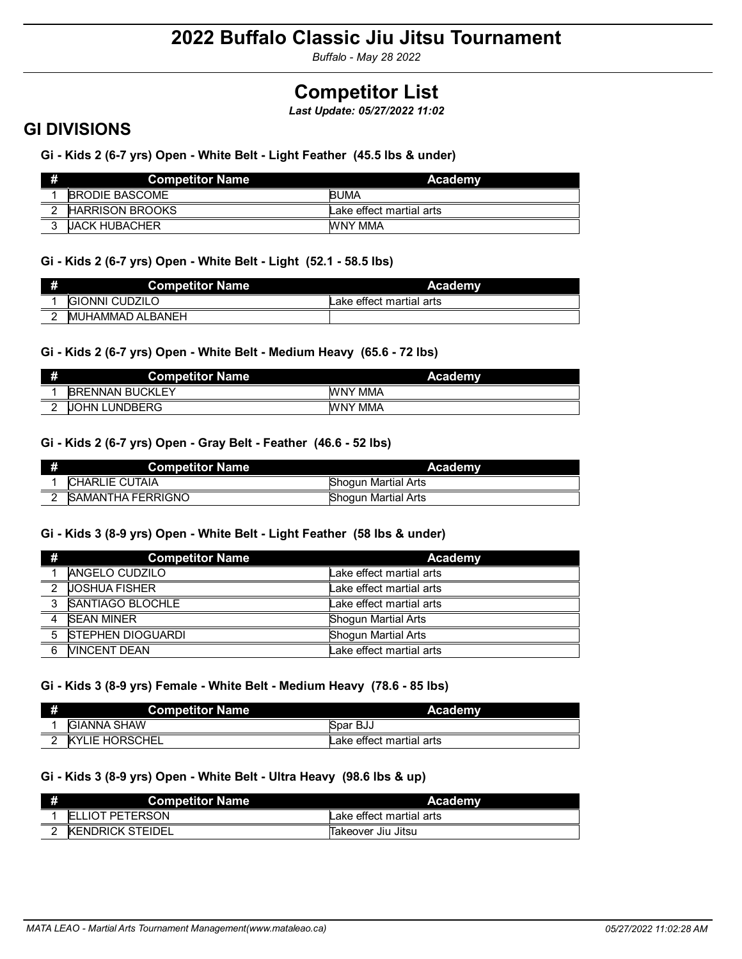*Buffalo - May 28 2022*

# **Competitor List**

*Last Update: 05/27/2022 11:02*

### **GI DIVISIONS**

**Gi - Kids 2 (6-7 yrs) Open - White Belt - Light Feather (45.5 lbs & under)**

| # | <b>Competitor Name</b> \ | Academy                  |
|---|--------------------------|--------------------------|
|   | <b>BRODIE BASCOME</b>    | <b>BUMA</b>              |
|   | <b>HARRISON BROOKS</b>   | Lake effect martial arts |
| ◠ | <b>UACK HUBACHER</b>     | WNY MMA                  |

### **Gi - Kids 2 (6-7 yrs) Open - White Belt - Light (52.1 - 58.5 lbs)**

| <b>Competitor Name</b>   | Academy                  |
|--------------------------|--------------------------|
| <b>GIONNI CUDZILO</b>    | Lake effect martial arts |
| <b>IMUHAMMAD ALBANEH</b> |                          |

### **Gi - Kids 2 (6-7 yrs) Open - White Belt - Medium Heavy (65.6 - 72 lbs)**

| # | <b>Competitor Name</b> | Academy        |
|---|------------------------|----------------|
|   | <b>BRENNAN BUCKLEY</b> | <b>WNY MMA</b> |
|   | <b>JOHN LUNDBERG</b>   | WNY MMA        |

### **Gi - Kids 2 (6-7 yrs) Open - Gray Belt - Feather (46.6 - 52 lbs)**

| <b>Competitor Name</b> | Academy                    |
|------------------------|----------------------------|
| <b>CHARLIE CUTAIA</b>  | <b>Shoqun Martial Arts</b> |
| ISAMANTHA FERRIGNO     | Shogun Martial Arts        |

### **Gi - Kids 3 (8-9 yrs) Open - White Belt - Light Feather (58 lbs & under)**

| #              | <b>Competitor Name</b>   | Academy                  |
|----------------|--------------------------|--------------------------|
|                | <b>ANGELO CUDZILO</b>    | Lake effect martial arts |
| $\overline{2}$ | <b>JOSHUA FISHER</b>     | Lake effect martial arts |
|                | 3 SANTIAGO BLOCHLE       | Lake effect martial arts |
|                | <b>SEAN MINER</b>        | Shogun Martial Arts      |
| 5              | <b>STEPHEN DIOGUARDI</b> | Shogun Martial Arts      |
| 6              | <b>VINCENT DEAN</b>      | Lake effect martial arts |

### **Gi - Kids 3 (8-9 yrs) Female - White Belt - Medium Heavy (78.6 - 85 lbs)**

| #      | <b>Competitor Name</b> | <b>Academy</b>           |
|--------|------------------------|--------------------------|
|        | <b>GIANNA SHAW</b>     | Spar BJJ                 |
| $\sim$ | <b>KYLIE HORSCHEL</b>  | Lake effect martial arts |

### **Gi - Kids 3 (8-9 yrs) Open - White Belt - Ultra Heavy (98.6 lbs & up)**

| # | <b>Competitor Name</b>  | Academy                  |
|---|-------------------------|--------------------------|
|   | <b>ELLIOT PETERSON</b>  | Lake effect martial arts |
|   | <b>KENDRICK STEIDEL</b> | lTakeover Jiu Jitsu      |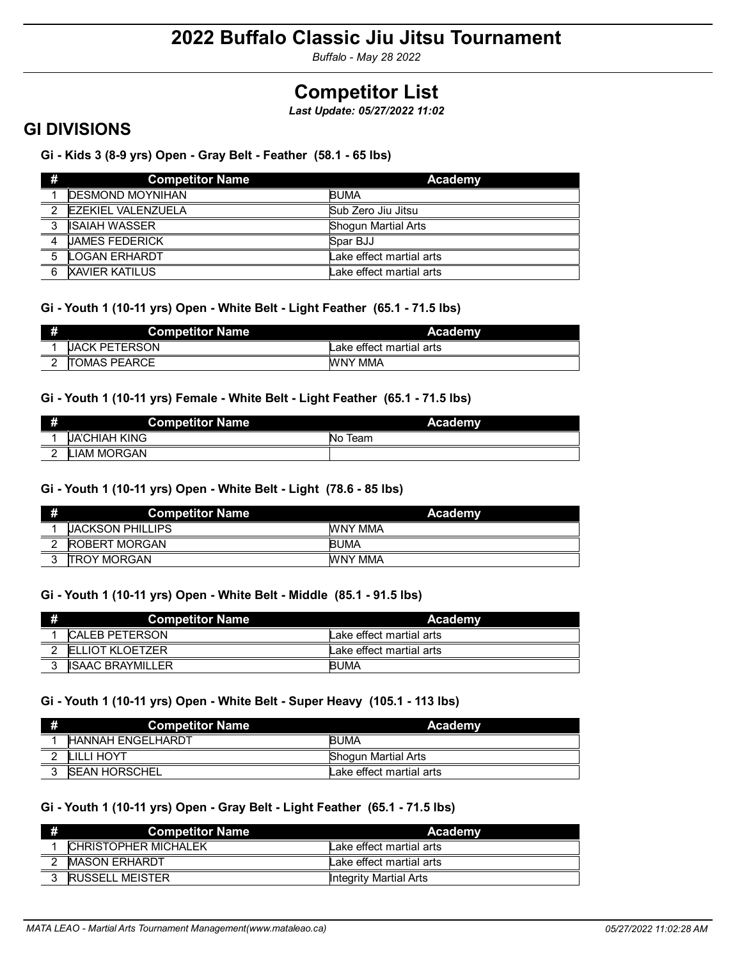*Buffalo - May 28 2022*

# **Competitor List**

*Last Update: 05/27/2022 11:02*

### **GI DIVISIONS**

**Gi - Kids 3 (8-9 yrs) Open - Gray Belt - Feather (58.1 - 65 lbs)**

| -#                      | <b>Competitor Name</b>    | Academy                  |
|-------------------------|---------------------------|--------------------------|
|                         | <b>DESMOND MOYNIHAN</b>   | <b>BUMA</b>              |
| $\overline{2}$          | <b>EZEKIEL VALENZUELA</b> | Sub Zero Jiu Jitsu       |
| $\overline{\mathbf{3}}$ | <b>ISAIAH WASSER</b>      | Shogun Martial Arts      |
| $\overline{4}$          | <b>JAMES FEDERICK</b>     | Spar BJJ                 |
| 5                       | <b>LOGAN ERHARDT</b>      | Lake effect martial arts |
| 6                       | <b>XAVIER KATILUS</b>     | Lake effect martial arts |

### **Gi - Youth 1 (10-11 yrs) Open - White Belt - Light Feather (65.1 - 71.5 lbs)**

| <b>Competitor Name</b> | Academy                  |
|------------------------|--------------------------|
| <b>UACK PETERSON</b>   | Lake effect martial arts |
| <b>ITOMAS PEARCE</b>   | WNY MMA                  |

### **Gi - Youth 1 (10-11 yrs) Female - White Belt - Light Feather (65.1 - 71.5 lbs)**

| # | <b>Competitor Name</b> | Academy    |
|---|------------------------|------------|
|   | <b>UA'CHIAH KING</b>   | Team<br>No |
|   | LIAM MORGAN            |            |

### **Gi - Youth 1 (10-11 yrs) Open - White Belt - Light (78.6 - 85 lbs)**

|   | <b>Competitor Name</b> | Academy     |
|---|------------------------|-------------|
|   | JACKSON PHILLIPS       | WNY MMA     |
| ົ | <b>ROBERT MORGAN</b>   | <b>BUMA</b> |
| C | <b>ITROY MORGAN</b>    | WNY MMA     |

### **Gi - Youth 1 (10-11 yrs) Open - White Belt - Middle (85.1 - 91.5 lbs)**

| <b>Competitor Name</b>  | <b>Academy</b>           |
|-------------------------|--------------------------|
| <b>CALEB PETERSON</b>   | Lake effect martial arts |
| <b>FLIJOT KLOFTZER</b>  | Lake effect martial arts |
| <b>ISAAC BRAYMILLER</b> | <b>BUMA</b>              |

### **Gi - Youth 1 (10-11 yrs) Open - White Belt - Super Heavy (105.1 - 113 lbs)**

| # | <b>Competitor Name</b>   | Academy                  |
|---|--------------------------|--------------------------|
|   | <b>HANNAH ENGELHARDT</b> | <b>BUMA</b>              |
|   | LILLI HOYT               | Shogun Martial Arts      |
|   | <b>ISEAN HORSCHEL</b>    | Lake effect martial arts |

### **Gi - Youth 1 (10-11 yrs) Open - Gray Belt - Light Feather (65.1 - 71.5 lbs)**

| #      | <b>Competitor Name</b>       | Academy                  |
|--------|------------------------------|--------------------------|
|        | <b>ICHRISTOPHER MICHALEK</b> | Lake effect martial arts |
| $\sim$ | <b>IMASON ERHARDT</b>        | Lake effect martial arts |
|        | <b>RUSSELL MEISTER</b>       | Integrity Martial Arts   |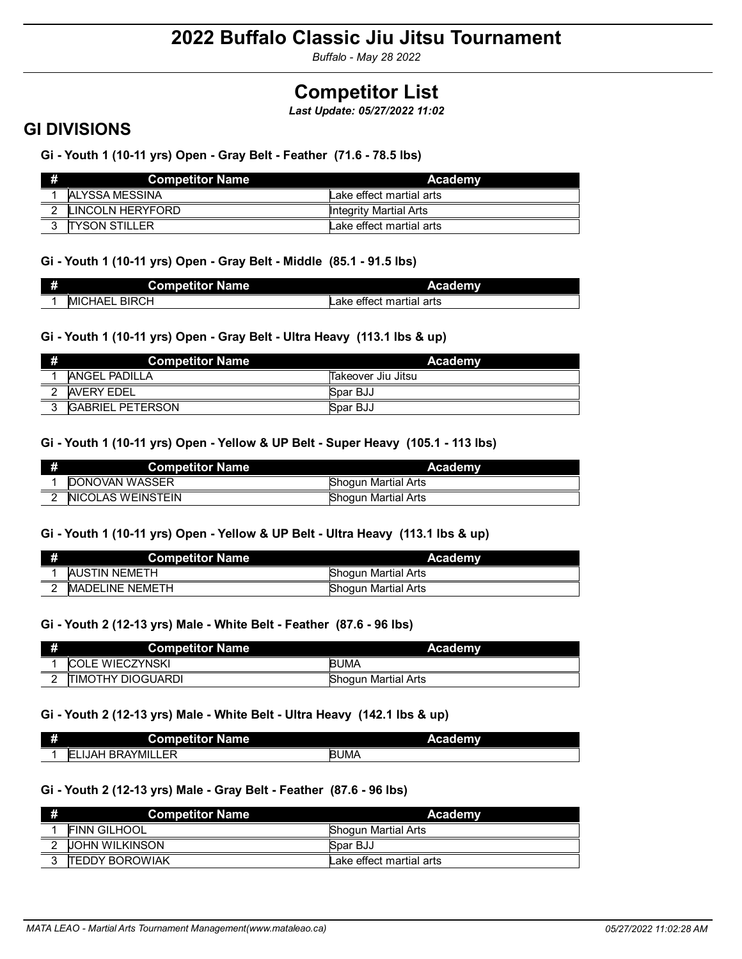*Buffalo - May 28 2022*

# **Competitor List**

*Last Update: 05/27/2022 11:02*

### **GI DIVISIONS**

**Gi - Youth 1 (10-11 yrs) Open - Gray Belt - Feather (71.6 - 78.5 lbs)**

| # | <b>Competitor Name</b> | Academy                  |
|---|------------------------|--------------------------|
|   | ALYSSA MESSINA         | Lake effect martial arts |
| າ | LINCOLN HERYFORD       | Integrity Martial Arts   |
| C | <b>ITYSON STILLER</b>  | Lake effect martial arts |

### **Gi - Youth 1 (10-11 yrs) Open - Gray Belt - Middle (85.1 - 91.5 lbs)**

| æ | <b>Competitor Name</b>   | Academy                  |
|---|--------------------------|--------------------------|
|   | <b>BIRCH</b><br>IMICHAEL | Lake effect martial arts |

### **Gi - Youth 1 (10-11 yrs) Open - Gray Belt - Ultra Heavy (113.1 lbs & up)**

| # | <b>Competitor Name</b>  | Academy            |
|---|-------------------------|--------------------|
|   | ANGEL PADILLA           | Takeover Jiu Jitsu |
|   | <b>AVERY FDEL</b>       | Spar BJJ           |
|   | <b>GABRIEL PETERSON</b> | Spar BJJ           |

### **Gi - Youth 1 (10-11 yrs) Open - Yellow & UP Belt - Super Heavy (105.1 - 113 lbs)**

| <b>Competitor Name</b>    | Academy                    |
|---------------------------|----------------------------|
| <b>IDONOVAN WASSER</b>    | <b>Shogun Martial Arts</b> |
| <b>INICOLAS WEINSTEIN</b> | Shogun Martial Arts        |

### **Gi - Youth 1 (10-11 yrs) Open - Yellow & UP Belt - Ultra Heavy (113.1 lbs & up)**

| <b>Competitor Name</b>  | Academy                    |
|-------------------------|----------------------------|
| AUSTIN NEMETH           | Shogun Martial Arts        |
| <b>IMADELINE NEMETH</b> | <b>Shoqun Martial Arts</b> |

### **Gi - Youth 2 (12-13 yrs) Male - White Belt - Feather (87.6 - 96 lbs)**

| <b>Competitor Name</b>    | Academy                    |
|---------------------------|----------------------------|
| <b>COLE WIECZYNSKI</b>    | <b>BUMA</b>                |
| <b>ITIMOTHY DIOGUARDI</b> | <b>Shogun Martial Arts</b> |

### **Gi - Youth 2 (12-13 yrs) Male - White Belt - Ultra Heavy (142.1 lbs & up)**

| æ | <b>Competitor Name</b>               | Academy     |
|---|--------------------------------------|-------------|
|   | ΙEL<br>' BRAYMILLE.<br>드드<br>_IJAH ` | <b>BUMA</b> |

### **Gi - Youth 2 (12-13 yrs) Male - Gray Belt - Feather (87.6 - 96 lbs)**

| 聯      | Competitor Name \      | Academy                    |
|--------|------------------------|----------------------------|
|        | <b>FINN GILHOOL</b>    | <b>Shoqun Martial Arts</b> |
| $\sim$ | <b>JOHN WILKINSON</b>  | Spar BJJ                   |
| ົ      | <b>ITEDDY BOROWIAK</b> | Lake effect martial arts   |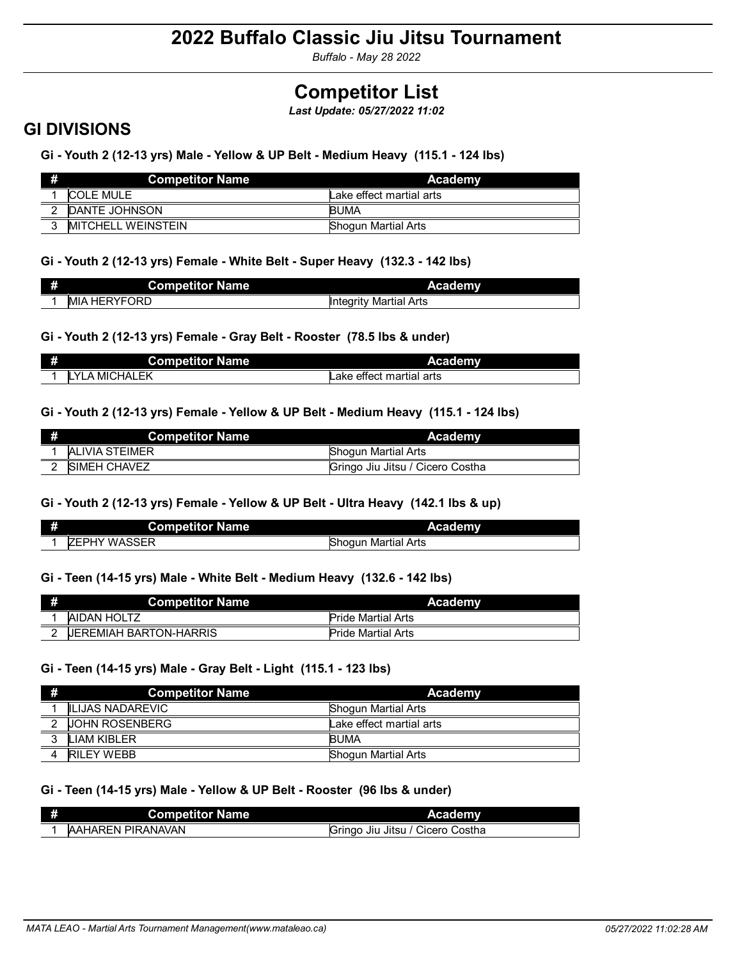*Buffalo - May 28 2022*

# **Competitor List**

*Last Update: 05/27/2022 11:02*

### **GI DIVISIONS**

**Gi - Youth 2 (12-13 yrs) Male - Yellow & UP Belt - Medium Heavy (115.1 - 124 lbs)**

|               | <b>Competitor Name</b>     | Academy                  |
|---------------|----------------------------|--------------------------|
|               | COLE MULE                  | Lake effect martial arts |
| $\mathcal{L}$ | <b>DANTE JOHNSON</b>       | <b>BUMA</b>              |
| C             | <b>IMITCHELL WEINSTEIN</b> | Shogun Martial Arts      |

### **Gi - Youth 2 (12-13 yrs) Female - White Belt - Super Heavy (132.3 - 142 lbs)**

| Ħ | <b>Competitor Name</b>  | <b>Academy</b>                          |
|---|-------------------------|-----------------------------------------|
|   | <b>HERYFORD</b><br>IMIA | <b>Martial Arts</b><br><b>Integrity</b> |

### **Gi - Youth 2 (12-13 yrs) Female - Gray Belt - Rooster (78.5 lbs & under)**

| Ħ | <b>Competitor Name</b> | <b>Academy</b>           |
|---|------------------------|--------------------------|
|   | <b>LYLA MICHALEK</b>   | Lake effect martial arts |

### **Gi - Youth 2 (12-13 yrs) Female - Yellow & UP Belt - Medium Heavy (115.1 - 124 lbs)**

| <b>Competitor Name</b> | Academy                          |
|------------------------|----------------------------------|
| ALIVIA STEIMER         | Shogun Martial Arts              |
| <b>ISIMEH CHAVEZ</b>   | Gringo Jiu Jitsu / Cicero Costha |

### **Gi - Youth 2 (12-13 yrs) Female - Yellow & UP Belt - Ultra Heavy (142.1 lbs & up)**

| <b>Competitor Name</b>         | <b>Academy</b>      |
|--------------------------------|---------------------|
| <b>WASSER</b><br><b>IZEPHY</b> | Shoqun Martial Arts |

### **Gi - Teen (14-15 yrs) Male - White Belt - Medium Heavy (132.6 - 142 lbs)**

|        | <b>Competitor Name</b>        | Academy                   |
|--------|-------------------------------|---------------------------|
|        | AIDAN HOLTZ                   | <b>Pride Martial Arts</b> |
| $\sim$ | <b>UEREMIAH BARTON-HARRIS</b> | <b>Pride Martial Arts</b> |

### **Gi - Teen (14-15 yrs) Male - Gray Belt - Light (115.1 - 123 lbs)**

| #        | <b>Competitor Name</b>  | Academy                    |
|----------|-------------------------|----------------------------|
|          | <b>ILIJAS NADAREVIC</b> | <b>Shoqun Martial Arts</b> |
| $\Omega$ | <b>UOHN ROSENBERG</b>   | Lake effect martial arts   |
| 2        | I IAM KIBI FR           | <b>BUMA</b>                |
|          | <b>RILFY WEBB</b>       | <b>Shoqun Martial Arts</b> |

### **Gi - Teen (14-15 yrs) Male - Yellow & UP Belt - Rooster (96 lbs & under)**

| <b>Competitor Name</b>   | <b>Academy</b>                   |
|--------------------------|----------------------------------|
| <b>AAHAREN PIRANAVAN</b> | Gringo Jiu Jitsu / Cicero Costha |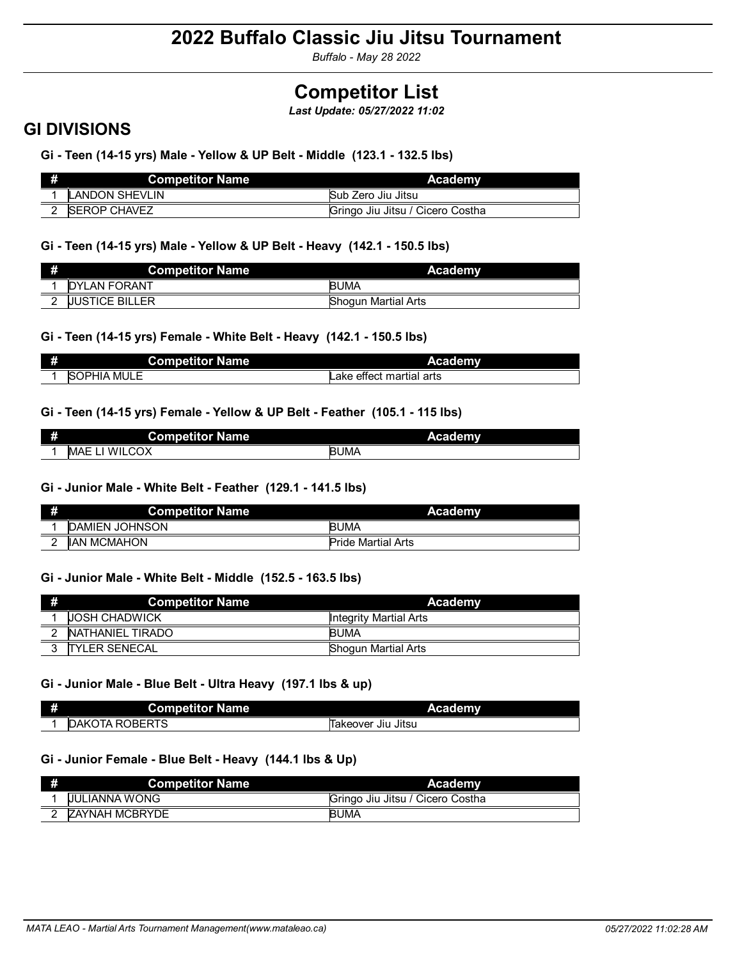*Buffalo - May 28 2022*

# **Competitor List**

*Last Update: 05/27/2022 11:02*

### **GI DIVISIONS**

**Gi - Teen (14-15 yrs) Male - Yellow & UP Belt - Middle (123.1 - 132.5 lbs)**

| Competitor Name \     | Academy                          |
|-----------------------|----------------------------------|
| <b>LANDON SHEVLIN</b> | Sub Zero Jiu Jitsu               |
| <b>ISEROP CHAVEZ</b>  | Gringo Jiu Jitsu / Cicero Costha |

### **Gi - Teen (14-15 yrs) Male - Yellow & UP Belt - Heavy (142.1 - 150.5 lbs)**

| # | <b>Competitor Name</b> | Academy             |
|---|------------------------|---------------------|
|   | <b>IDYLAN FORANT</b>   | <b>BUMA</b>         |
|   | <b>UUSTICE BILLER</b>  | Shogun Martial Arts |

### **Gi - Teen (14-15 yrs) Female - White Belt - Heavy (142.1 - 150.5 lbs)**

| # | <b>Competitor Name</b> | <b>Academy</b>           |
|---|------------------------|--------------------------|
|   | <b>SOPHIA MULE</b>     | Lake effect martial arts |

### **Gi - Teen (14-15 yrs) Female - Yellow & UP Belt - Feather (105.1 - 115 lbs)**

| # | <b>Competitor Name</b>     | Academy     |
|---|----------------------------|-------------|
|   | <b>ILCOX</b><br>WF.<br>MAE | <b>BUMA</b> |

### **Gi - Junior Male - White Belt - Feather (129.1 - 141.5 lbs)**

| # | <b>Competitor Name</b> | Academy                   |
|---|------------------------|---------------------------|
|   | <b>DAMIEN JOHNSON</b>  | <b>BUMA</b>               |
|   | <b>IIAN MCMAHON</b>    | <b>Pride Martial Arts</b> |

### **Gi - Junior Male - White Belt - Middle (152.5 - 163.5 lbs)**

| Æ,       | <b>Competitor Name</b> | <b>Academy</b>             |
|----------|------------------------|----------------------------|
|          | <b>JOSH CHADWICK</b>   | Integrity Martial Arts     |
| $\sim$   | NATHANIEL TIRADO       | <b>BUMA</b>                |
| $\Omega$ | <b>ITYLER SENECAL</b>  | <b>Shogun Martial Arts</b> |

### **Gi - Junior Male - Blue Belt - Ultra Heavy (197.1 lbs & up)**

| # | <b>Competitor Name</b>      | <b>Academy</b>         |
|---|-----------------------------|------------------------|
|   | OTA ROBERTS<br><b>IDAKO</b> | ∵Jiu Jitsu<br>Takeover |

### **Gi - Junior Female - Blue Belt - Heavy (144.1 lbs & Up)**

| <b>Competitor Name</b> | <b>Academy</b>                   |
|------------------------|----------------------------------|
| <b>UULIANNA WONG</b>   | Gringo Jiu Jitsu / Cicero Costha |
| <b>ZAYNAH MCBRYDE</b>  | <b>BUMA</b>                      |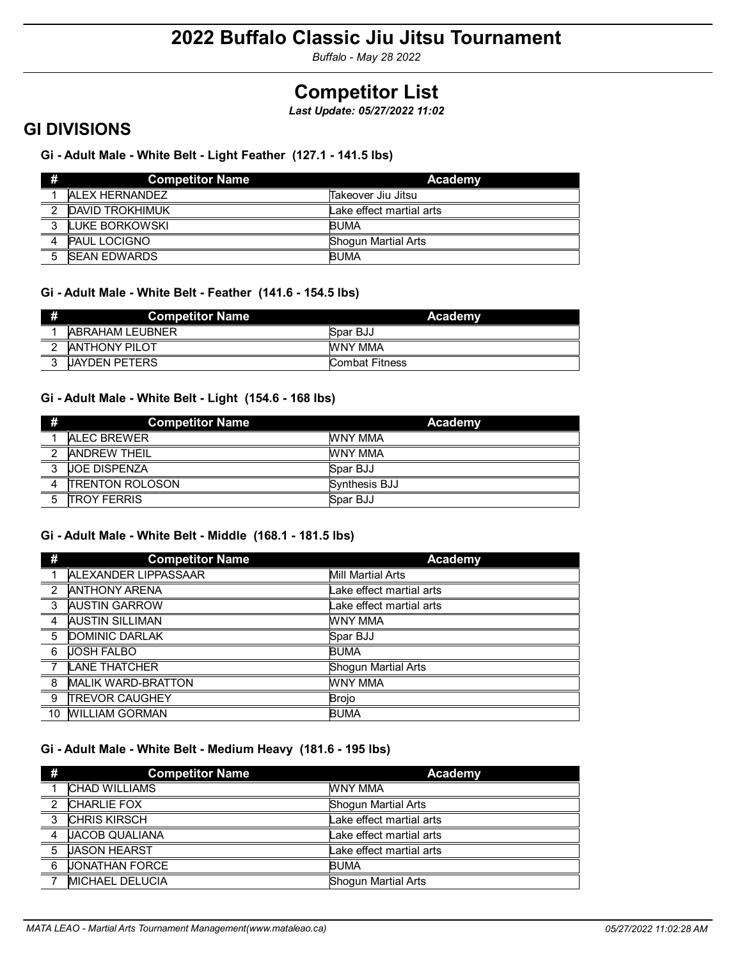*Buffalo - May 28 2022*

# **Competitor List**

*Last Update: 05/27/2022 11:02*

### **GI DIVISIONS**

### **Gi - Adult Male - White Belt - Light Feather (127.1 - 141.5 lbs)**

| #            | <b>Competitor Name</b> | Academy                  |
|--------------|------------------------|--------------------------|
|              | <b>ALEX HERNANDEZ</b>  | Takeover Jiu Jitsu       |
| $\sqrt{2}$ . | <b>DAVID TROKHIMUK</b> | Lake effect martial arts |
| 3            | LUKE BORKOWSKI         | <b>BUMA</b>              |
|              | <b>PAUL LOCIGNO</b>    | Shogun Martial Arts      |
| 5            | <b>ISEAN EDWARDS</b>   | <b>BUMA</b>              |

### **Gi - Adult Male - White Belt - Feather (141.6 - 154.5 lbs)**

| н | <b>Competitor Name</b> | Academy        |
|---|------------------------|----------------|
|   | <b>ABRAHAM LEUBNER</b> | Spar BJJ       |
|   | <b>ANTHONY PILOT</b>   | WNY MMA        |
|   | <b>UAYDEN PETERS</b>   | Combat Fitness |

### **Gi - Adult Male - White Belt - Light (154.6 - 168 lbs)**

| #                        | <b>Competitor Name</b> | Academy       |
|--------------------------|------------------------|---------------|
|                          | <b>ALEC BREWER</b>     | WNY MMA       |
| $\overline{\phantom{a}}$ | <b>ANDREW THEIL</b>    | WNY MMA       |
| $\overline{3}$           | <b>UOE DISPENZA</b>    | Spar BJJ      |
| $\overline{4}$           | <b>TRENTON ROLOSON</b> | Synthesis BJJ |
| 5                        | <b>TROY FERRIS</b>     | Spar BJJ      |

### **Gi - Adult Male - White Belt - Middle (168.1 - 181.5 lbs)**

| #              | <b>Competitor Name</b>    | <b>Academy</b>           |
|----------------|---------------------------|--------------------------|
|                | ALEXANDER LIPPASSAAR      | Mill Martial Arts        |
| $\mathcal{P}$  | <b>ANTHONY ARENA</b>      | Lake effect martial arts |
| 3              | <b>AUSTIN GARROW</b>      | Lake effect martial arts |
| $\overline{4}$ | <b>AUSTIN SILLIMAN</b>    | <b>WNY MMA</b>           |
| 5              | DOMINIC DARLAK            | Spar BJJ                 |
| - 6            | <b>JOSH FALBO</b>         | <b>BUMA</b>              |
| 7              | <b>LANE THATCHER</b>      | Shogun Martial Arts      |
| $^{\circ}$ 8   | <b>MALIK WARD-BRATTON</b> | <b>WNY MMA</b>           |
| -9             | <b>TREVOR CAUGHEY</b>     | <b>Brojo</b>             |
| 10             | <b>WILLIAM GORMAN</b>     | <b>BUMA</b>              |

### **Gi - Adult Male - White Belt - Medium Heavy (181.6 - 195 lbs)**

| #                       | <b>Competitor Name</b>  | Academy                    |
|-------------------------|-------------------------|----------------------------|
|                         | <b>CHAD WILLIAMS</b>    | <b>WNY MMA</b>             |
| $\mathfrak{p}$          | <b>CHARLIE FOX</b>      | <b>Shogun Martial Arts</b> |
| $\overline{\mathbf{3}}$ | <b>CHRIS KIRSCH</b>     | Lake effect martial arts   |
| 4                       | <b>JACOB QUALIANA</b>   | Lake effect martial arts   |
| 5                       | <b>JASON HEARST</b>     | Lake effect martial arts   |
| 6                       | UONATHAN FORCE          | <b>BUMA</b>                |
|                         | <b>IMICHAEL DELUCIA</b> | Shogun Martial Arts        |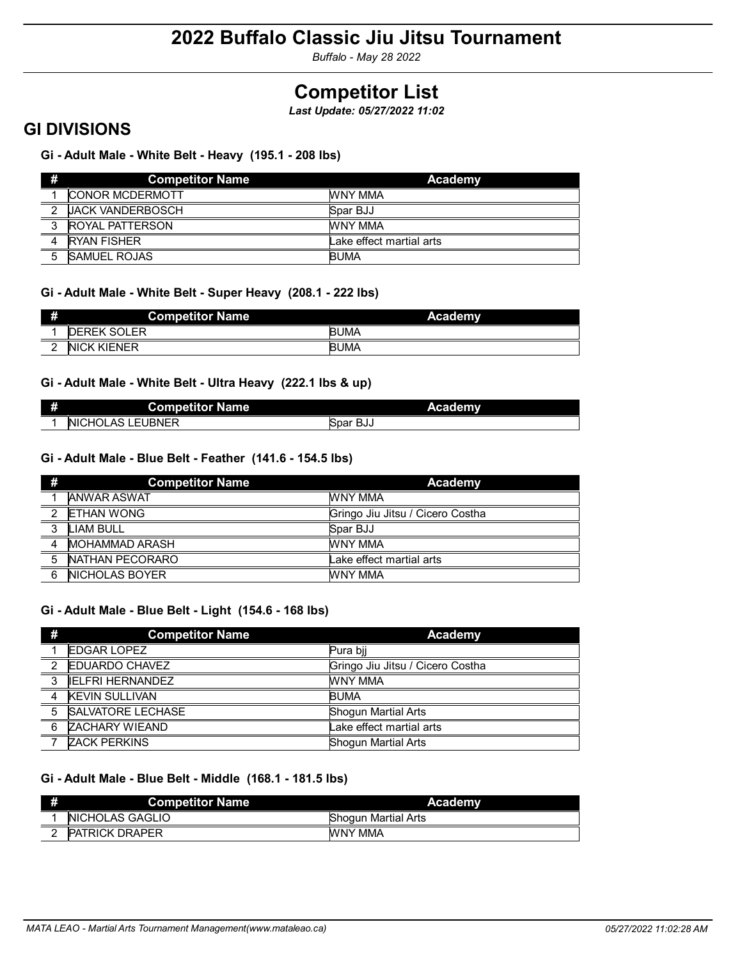*Buffalo - May 28 2022*

# **Competitor List**

*Last Update: 05/27/2022 11:02*

### **GI DIVISIONS**

**Gi - Adult Male - White Belt - Heavy (195.1 - 208 lbs)**

| #             | <b>Competitor Name</b>  | Academy                  |
|---------------|-------------------------|--------------------------|
|               | <b>CONOR MCDERMOTT</b>  | WNY MMA                  |
| $\mathcal{P}$ | <b>UACK VANDERBOSCH</b> | Spar BJJ                 |
| $\mathbf{z}$  | <b>ROYAL PATTERSON</b>  | <b>WNY MMA</b>           |
|               | <b>RYAN FISHER</b>      | Lake effect martial arts |
|               | <b>SAMUEL ROJAS</b>     | <b>BUMA</b>              |

### **Gi - Adult Male - White Belt - Super Heavy (208.1 - 222 lbs)**

| Ŧ | <b>Competitor Name</b> | Academy     |
|---|------------------------|-------------|
|   | <b>DEREK SOLER</b>     | <b>BUMA</b> |
|   | <b>NICK KIENER</b>     | <b>BUMA</b> |

### **Gi - Adult Male - White Belt - Ultra Heavy (222.1 lbs & up)**

| ₩. | <b>Competitor Name</b>         | <b>Academy</b> |
|----|--------------------------------|----------------|
|    | NICHOLAS I 1<br><b>LEUBNER</b> | Spar BJJ       |

### **Gi - Adult Male - Blue Belt - Feather (141.6 - 154.5 lbs)**

| -#             | <b>Competitor Name</b> | Academy                          |
|----------------|------------------------|----------------------------------|
|                | <b>ANWAR ASWAT</b>     | <b>WNY MMA</b>                   |
|                | 2 ETHAN WONG           | Gringo Jiu Jitsu / Cicero Costha |
| $\overline{3}$ | LIAM BULL              | Spar BJJ                         |
| $\overline{4}$ | MOHAMMAD ARASH         | <b>WNY MMA</b>                   |
| $-5$           | NATHAN PECORARO        | Lake effect martial arts         |
| 6              | <b>INICHOLAS BOYER</b> | WNY MMA                          |

### **Gi - Adult Male - Blue Belt - Light (154.6 - 168 lbs)**

| #                       | <b>Competitor Name</b>   | Academy                          |
|-------------------------|--------------------------|----------------------------------|
|                         | <b>EDGAR LOPEZ</b>       | Pura bii                         |
| $\mathcal{P}$           | <b>EDUARDO CHAVEZ</b>    | Gringo Jiu Jitsu / Cicero Costha |
| $\overline{\mathbf{3}}$ | IFI FRI HFRNANDFZ        | <b>WNY MMA</b>                   |
| $\overline{4}$          | <b>KEVIN SULLIVAN</b>    | <b>BUMA</b>                      |
| - 5                     | <b>SALVATORE LECHASE</b> | <b>Shogun Martial Arts</b>       |
| 6                       | <b>ZACHARY WIEAND</b>    | Lake effect martial arts         |
|                         | <b>ZACK PERKINS</b>      | <b>Shogun Martial Arts</b>       |

### **Gi - Adult Male - Blue Belt - Middle (168.1 - 181.5 lbs)**

| # | <b>Competitor Name</b>  | Academy                    |
|---|-------------------------|----------------------------|
|   | <b>INICHOLAS GAGLIO</b> | <b>Shogun Martial Arts</b> |
|   | <b>PATRICK DRAPER</b>   | WNY MMA                    |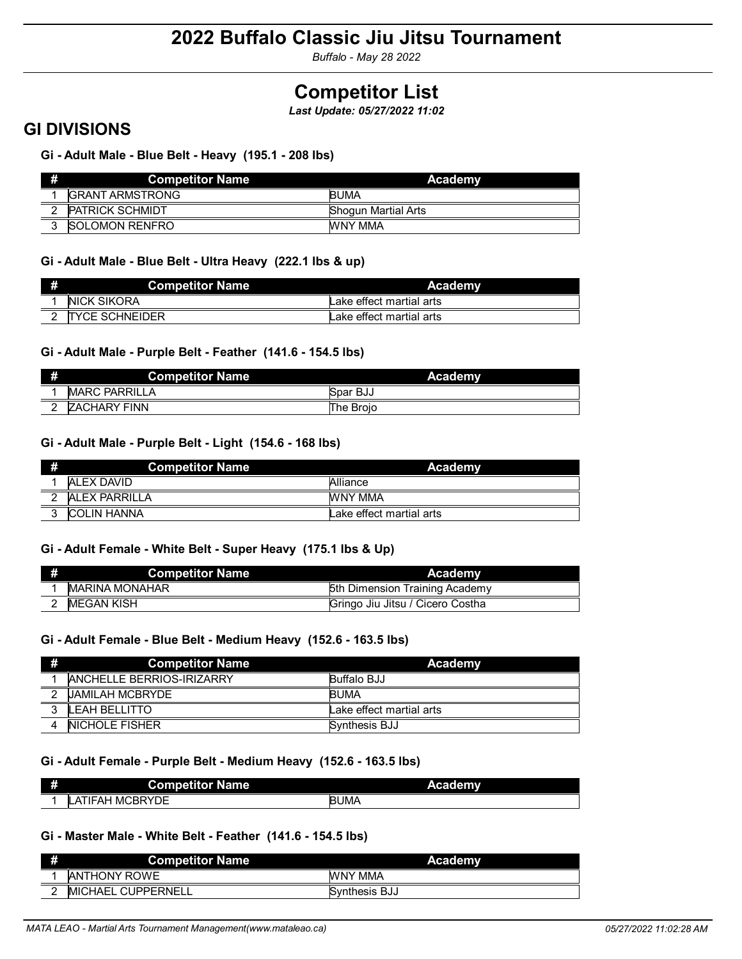*Buffalo - May 28 2022*

# **Competitor List**

*Last Update: 05/27/2022 11:02*

### **GI DIVISIONS**

**Gi - Adult Male - Blue Belt - Heavy (195.1 - 208 lbs)**

| <b>Competitor Name</b>  | Academy                    |
|-------------------------|----------------------------|
| <b>IGRANT ARMSTRONG</b> | <b>BUMA</b>                |
| <b>PATRICK SCHMIDT</b>  | <b>Shogun Martial Arts</b> |
| <b>ISOLOMON RENFRO</b>  | WNY MMA                    |

### **Gi - Adult Male - Blue Belt - Ultra Heavy (222.1 lbs & up)**

| <b>Competitor Name</b> | Academy                  |
|------------------------|--------------------------|
| <b>NICK SIKORA</b>     | Lake effect martial arts |
| <b>TYCE SCHNEIDER</b>  | Lake effect martial arts |

### **Gi - Adult Male - Purple Belt - Feather (141.6 - 154.5 lbs)**

| # | <b>Competitor Name</b> | <b>Academy</b> |
|---|------------------------|----------------|
|   | <b>IMARC PARRILLA</b>  | Spar BJJ       |
|   | <b>ZACHARY FINN</b>    | The Broio      |

### **Gi - Adult Male - Purple Belt - Light (154.6 - 168 lbs)**

| н | <b>Competitor Name</b> | Academy                  |
|---|------------------------|--------------------------|
|   | IAI FX DAVID           | Alliance                 |
|   | IAI FX PARRILLA        | WNY MMA                  |
| 2 | <b>COLIN HANNA</b>     | Lake effect martial arts |

### **Gi - Adult Female - White Belt - Super Heavy (175.1 lbs & Up)**

| <b>Competitor Name</b> | Academy                          |
|------------------------|----------------------------------|
| <b>IMARINA MONAHAR</b> | 5th Dimension Training Academy   |
| MEGAN KISH             | Gringo Jiu Jitsu / Cicero Costha |

### **Gi - Adult Female - Blue Belt - Medium Heavy (152.6 - 163.5 lbs)**

| #      | <b>Competitor Name</b>           | Academy                  |
|--------|----------------------------------|--------------------------|
|        | <b>ANCHELLE BERRIOS-IRIZARRY</b> | Buffalo BJJ              |
| $\sim$ | <b>UAMILAH MCBRYDE</b>           | <b>BUMA</b>              |
|        | <b>LEAH BELLITTO</b>             | Lake effect martial arts |
|        | <b>NICHOLE FISHER</b>            | Synthesis BJJ            |

### **Gi - Adult Female - Purple Belt - Medium Heavy (152.6 - 163.5 lbs)**

| # | <b>Competitor Name</b>         | <b>Academy</b> |
|---|--------------------------------|----------------|
|   | <b>MCBRYDF</b><br>TIFAH<br>LAI | <b>BUMA</b>    |

### **Gi - Master Male - White Belt - Feather (141.6 - 154.5 lbs)**

| # | <b>Competitor Name</b>    | Academy              |
|---|---------------------------|----------------------|
|   | <b>ANTHONY ROWE</b>       | WNY MMA              |
|   | <b>MICHAEL CUPPERNELL</b> | <b>Synthesis BJJ</b> |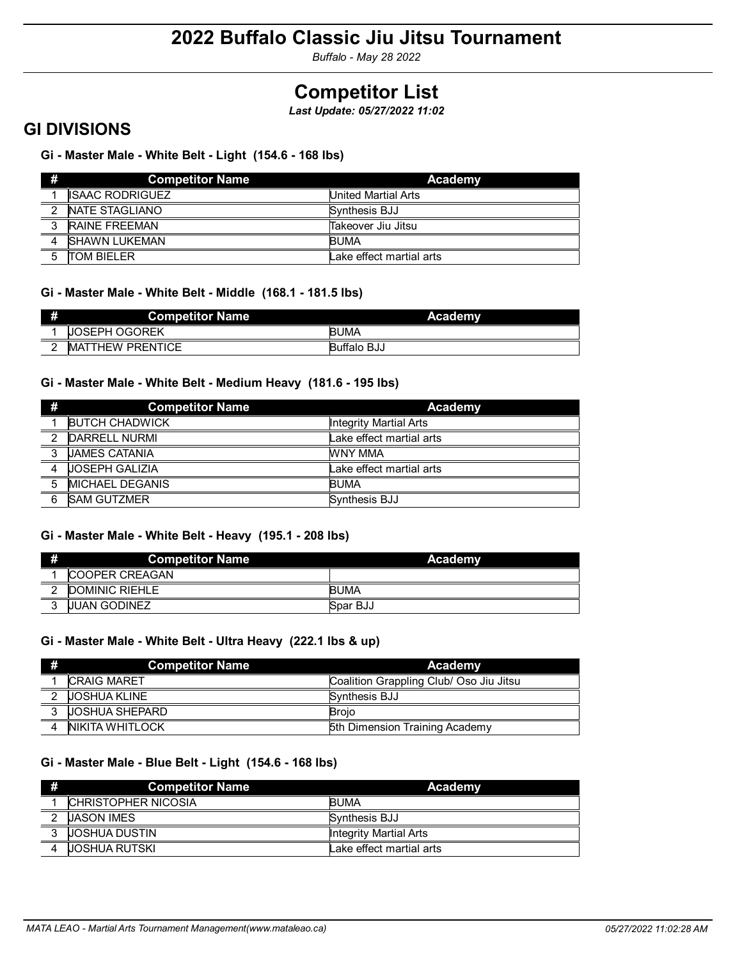*Buffalo - May 28 2022*

# **Competitor List**

*Last Update: 05/27/2022 11:02*

### **GI DIVISIONS**

### **Gi - Master Male - White Belt - Light (154.6 - 168 lbs)**

| #             | Competitor Name        | Academy                  |
|---------------|------------------------|--------------------------|
|               | <b>ISAAC RODRIGUEZ</b> | United Martial Arts      |
| $\mathcal{P}$ | <b>INATE STAGLIANO</b> | Synthesis BJJ            |
| $\mathbf{z}$  | <b>RAINE FREEMAN</b>   | Takeover Jiu Jitsu       |
|               | <b>ISHAWN LUKEMAN</b>  | <b>BUMA</b>              |
| $5^{\circ}$   | <b>TOM BIFLER</b>      | Lake effect martial arts |

### **Gi - Master Male - White Belt - Middle (168.1 - 181.5 lbs)**

| ж | <b>Competitor Name</b>         | <b>Academy</b>     |
|---|--------------------------------|--------------------|
|   | OSEPH OGOREK<br>IJ             | <b>BUMA</b>        |
|   | <b>ATTHEW PRENTICE</b><br>IMA. | <b>Buffalo BJJ</b> |

### **Gi - Master Male - White Belt - Medium Heavy (181.6 - 195 lbs)**

| #                       | <b>Competitor Name</b> | Academy                       |
|-------------------------|------------------------|-------------------------------|
|                         | <b>BUTCH CHADWICK</b>  | <b>Integrity Martial Arts</b> |
| $\overline{2}$          | DARRELL NURMI          | Lake effect martial arts      |
| $\overline{\mathbf{3}}$ | <b>JAMES CATANIA</b>   | WNY MMA                       |
| $\overline{4}$          | <b>JOSEPH GALIZIA</b>  | Lake effect martial arts      |
| $\overline{5}$          | <b>MICHAEL DEGANIS</b> | <b>BUMA</b>                   |
| 6                       | <b>SAM GUTZMER</b>     | Synthesis BJJ                 |

### **Gi - Master Male - White Belt - Heavy (195.1 - 208 lbs)**

| Ħ | <b>Competitor Name</b> | <b>Academy</b> |
|---|------------------------|----------------|
|   | <b>ICOOPER CREAGAN</b> |                |
| ົ | DOMINIC RIEHLE         | <b>BUMA</b>    |
| ົ | <b>JUAN GODINEZ</b>    | Spar BJJ       |

### **Gi - Master Male - White Belt - Ultra Heavy (222.1 lbs & up)**

| #                        | <b>Competitor Name</b> | Academy                                 |
|--------------------------|------------------------|-----------------------------------------|
|                          | <b>CRAIG MARET</b>     | Coalition Grappling Club/ Oso Jiu Jitsu |
| $\overline{\phantom{a}}$ | <b>JOSHUA KLINE</b>    | Synthesis BJJ                           |
| بر                       | <b>JOSHUA SHEPARD</b>  | Broio                                   |
| $\mathbf{A}$             | NIKITA WHITLOCK        | 5th Dimension Training Academy          |

### **Gi - Master Male - Blue Belt - Light (154.6 - 168 lbs)**

| ₩.             | <b>Competitor Name</b>      | Academy                  |
|----------------|-----------------------------|--------------------------|
|                | <b>ICHRISTOPHER NICOSIA</b> | <b>BUMA</b>              |
| $\overline{2}$ | <b>JASON IMES</b>           | <b>Synthesis BJJ</b>     |
| $\overline{3}$ | <b>JOSHUA DUSTIN</b>        | Integrity Martial Arts   |
| $\Delta$       | <b>JOSHUA RUTSKI</b>        | Lake effect martial arts |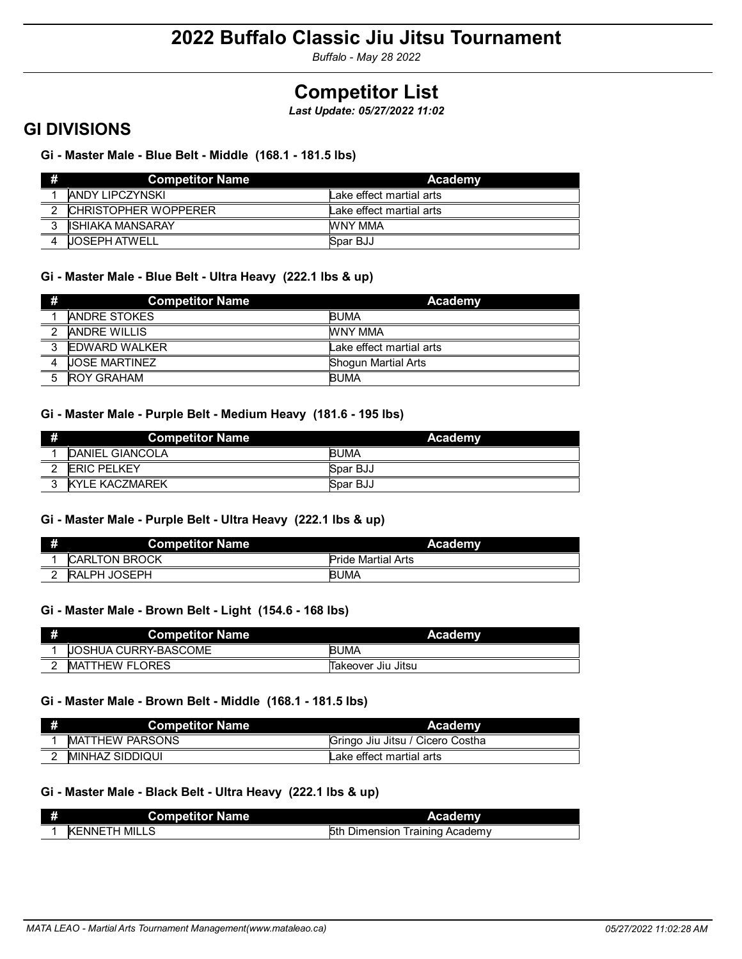*Buffalo - May 28 2022*

# **Competitor List**

*Last Update: 05/27/2022 11:02*

### **GI DIVISIONS**

**Gi - Master Male - Blue Belt - Middle (168.1 - 181.5 lbs)**

| #              | <b>Competitor Name</b>      | Academy                  |
|----------------|-----------------------------|--------------------------|
|                | ANDY LIPCZYNSKI             | Lake effect martial arts |
| $\overline{2}$ | <b>CHRISTOPHER WOPPERER</b> | Lake effect martial arts |
| $\mathbf{r}$   | ISHIAKA MANSARAY            | WNY MMA                  |
|                | <b>UOSEPH ATWELL</b>        | Spar BJJ                 |

### **Gi - Master Male - Blue Belt - Ultra Heavy (222.1 lbs & up)**

| #                        | <b>Competitor Name</b> | Academy                    |
|--------------------------|------------------------|----------------------------|
|                          | <b>ANDRE STOKES</b>    | <b>BUMA</b>                |
| $\overline{\phantom{a}}$ | <b>ANDRE WILLIS</b>    | WNY MMA                    |
| $\overline{3}$           | <b>EDWARD WALKER</b>   | Lake effect martial arts   |
|                          | <b>UOSE MARTINEZ</b>   | <b>Shoqun Martial Arts</b> |
|                          | <b>ROY GRAHAM</b>      | <b>BUMA</b>                |

### **Gi - Master Male - Purple Belt - Medium Heavy (181.6 - 195 lbs)**

| Ħ      | <b>Competitor Name</b>  | Academy     |
|--------|-------------------------|-------------|
|        | <b>IDANIEL GIANCOLA</b> | <b>BUMA</b> |
| $\sim$ | <b>IERIC PELKEY</b>     | Spar BJJ    |
|        | <b>KYLE KACZMAREK</b>   | Spar BJJ    |

### **Gi - Master Male - Purple Belt - Ultra Heavy (222.1 lbs & up)**

|   | <b>Competitor Name</b> | Academy                   |
|---|------------------------|---------------------------|
|   | <b>CARLTON BROCK</b>   | <b>Pride Martial Arts</b> |
| ົ | <b>RALPH JOSEPH</b>    | <b>BUMA</b>               |

### **Gi - Master Male - Brown Belt - Light (154.6 - 168 lbs)**

| <b>Competitor Name</b>      | <b>Academy</b>     |
|-----------------------------|--------------------|
| <b>JOSHUA CURRY-BASCOME</b> | <b>BUMA</b>        |
| <b>IMATTHEW FLORES</b>      | Takeover Jiu Jitsu |

### **Gi - Master Male - Brown Belt - Middle (168.1 - 181.5 lbs)**

| <b>Competitor Name</b>  | Academy                          |
|-------------------------|----------------------------------|
| <b>IMATTHEW PARSONS</b> | Gringo Jiu Jitsu / Cicero Costha |
| IMINHAZ SIDDIQUI        | Lake effect martial arts         |

### **Gi - Master Male - Black Belt - Ultra Heavy (222.1 lbs & up)**

| <b>Competitor Name</b>        | <b>Academy</b>                       |
|-------------------------------|--------------------------------------|
| ` MILLS<br><b>IKENNE</b><br>н | 5th<br>Training Academy<br>Dimension |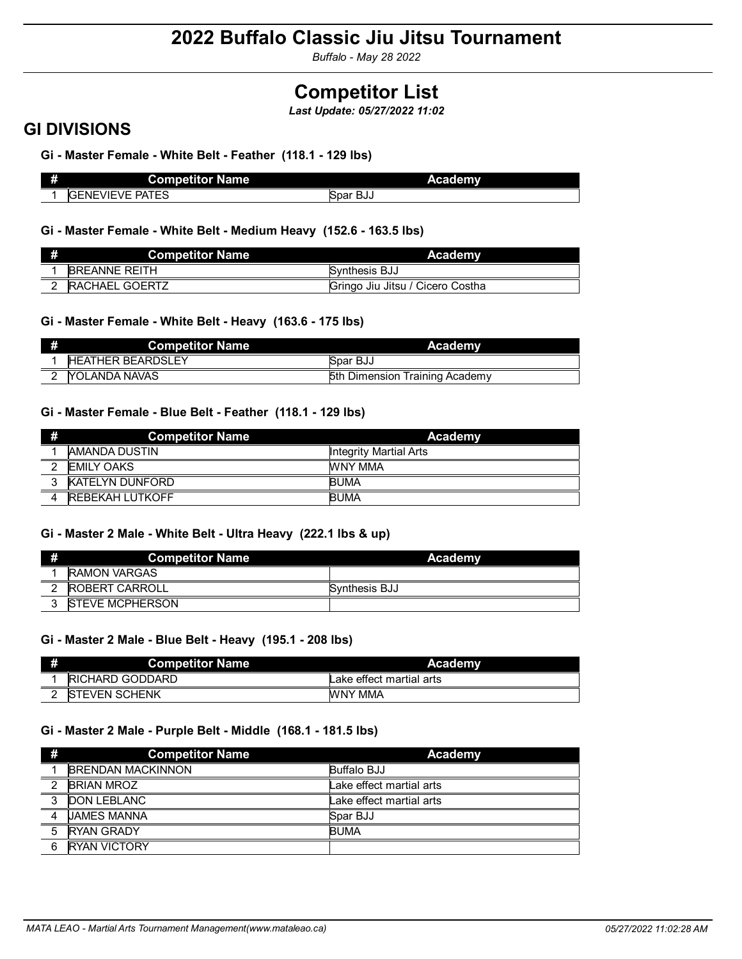*Buffalo - May 28 2022*

## **Competitor List**

*Last Update: 05/27/2022 11:02*

### **GI DIVISIONS**

**Gi - Master Female - White Belt - Feather (118.1 - 129 lbs)**

| æ | <b>Competitor Name</b>           | Academy       |  |
|---|----------------------------------|---------------|--|
|   | <b>PATES</b><br><b>GENEVIEVE</b> | Spar<br>้ BJJ |  |

**Gi - Master Female - White Belt - Medium Heavy (152.6 - 163.5 lbs)**

| <b>Competitor Name</b> | Academy                          |
|------------------------|----------------------------------|
| <b>BREANNE REITH</b>   | Synthesis BJJ                    |
| <b>RACHAEL GOERTZ</b>  | Gringo Jiu Jitsu / Cicero Costha |

### **Gi - Master Female - White Belt - Heavy (163.6 - 175 lbs)**

| Competitor Name          | <b>Academy</b>                 |
|--------------------------|--------------------------------|
| <b>HEATHER BEARDSLEY</b> | Spar BJJ                       |
| <b>YOLANDA NAVAS</b>     | 5th Dimension Training Academy |

### **Gi - Master Female - Blue Belt - Feather (118.1 - 129 lbs)**

| #                        | <b>Competitor Name</b>  | Academy                       |
|--------------------------|-------------------------|-------------------------------|
|                          | <b>IAMANDA DUSTIN</b>   | <b>Integrity Martial Arts</b> |
| $\overline{\phantom{0}}$ | <b>IEMILY OAKS</b>      | WNY MMA                       |
| $\overline{z}$           | <b>KATELYN DUNFORD</b>  | <b>BUMA</b>                   |
|                          | <b>IREBEKAH LUTKOFF</b> | <b>BUMA</b>                   |

### **Gi - Master 2 Male - White Belt - Ultra Heavy (222.1 lbs & up)**

|   | <b>Competitor Name</b>  | Academy       |
|---|-------------------------|---------------|
|   | <b>RAMON VARGAS</b>     |               |
|   | <b>ROBERT CARROLL</b>   | Synthesis BJJ |
| ົ | <b>ISTEVE MCPHERSON</b> |               |

### **Gi - Master 2 Male - Blue Belt - Heavy (195.1 - 208 lbs)**

| <b>Competitor Name</b> | Academy                  |
|------------------------|--------------------------|
| RICHARD GODDARD        | Lake effect martial arts |
| <b>ISTEVEN SCHENK</b>  | WNY MMA                  |

### **Gi - Master 2 Male - Purple Belt - Middle (168.1 - 181.5 lbs)**

| #              | <b>Competitor Name</b>   | Academy                  |
|----------------|--------------------------|--------------------------|
|                | <b>BRENDAN MACKINNON</b> | Buffalo BJJ              |
| $\overline{2}$ | <b>BRIAN MROZ</b>        | Lake effect martial arts |
| - 3            | <b>DON LEBLANC</b>       | Lake effect martial arts |
| $\overline{4}$ | <b>JAMES MANNA</b>       | Spar BJJ                 |
| 5              | <b>RYAN GRADY</b>        | <b>BUMA</b>              |
| 6              | <b>RYAN VICTORY</b>      |                          |